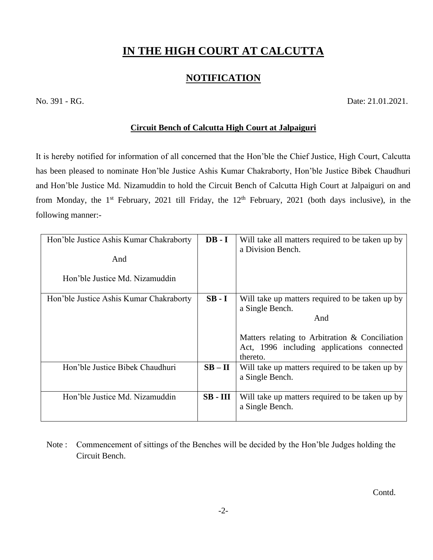## **IN THE HIGH COURT AT CALCUTTA**

## **NOTIFICATION**

No. 391 - RG. Date: 21.01.2021.

## **Circuit Bench of Calcutta High Court at Jalpaiguri**

It is hereby notified for information of all concerned that the Hon'ble the Chief Justice, High Court, Calcutta has been pleased to nominate Hon'ble Justice Ashis Kumar Chakraborty, Hon'ble Justice Bibek Chaudhuri and Hon'ble Justice Md. Nizamuddin to hold the Circuit Bench of Calcutta High Court at Jalpaiguri on and from Monday, the 1<sup>st</sup> February, 2021 till Friday, the  $12<sup>th</sup>$  February, 2021 (both days inclusive), in the following manner:-

| Hon'ble Justice Ashis Kumar Chakraborty<br>And<br>Hon'ble Justice Md. Nizamuddin | $DB - I$   | Will take all matters required to be taken up by<br>a Division Bench.                                                                                                                 |
|----------------------------------------------------------------------------------|------------|---------------------------------------------------------------------------------------------------------------------------------------------------------------------------------------|
| Hon'ble Justice Ashis Kumar Chakraborty                                          | $SB-I$     | Will take up matters required to be taken up by<br>a Single Bench.<br>And<br>Matters relating to Arbitration & Conciliation<br>Act, 1996 including applications connected<br>thereto. |
| Hon'ble Justice Bibek Chaudhuri                                                  | $SB - II$  | Will take up matters required to be taken up by<br>a Single Bench.                                                                                                                    |
| Hon'ble Justice Md. Nizamuddin                                                   | $SB - III$ | Will take up matters required to be taken up by<br>a Single Bench.                                                                                                                    |

 Note : Commencement of sittings of the Benches will be decided by the Hon'ble Judges holding the Circuit Bench.

Contd.